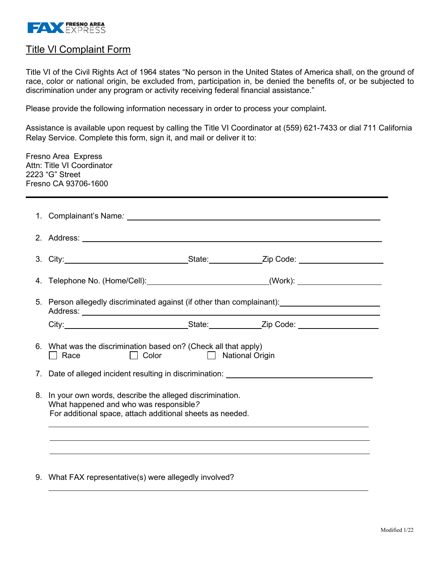

## Title Vl Complaint Form

Title VI of the Civil Rights Act of 1964 states "No person in the United States of America shall, on the ground of race, color or national origin, be excluded from, participation in, be denied the benefits of, or be subjected to discrimination under any program or activity receiving federal financial assistance."

Please provide the following information necessary in order to process your complaint.

Assistance is available upon request by calling the Title VI Coordinator at (559) 621-7433 or dial 711 California Relay Service. Complete this form, sign it, and mail or deliver it to:

|                | <b>Fresno Area Express</b><br>Attn: Title VI Coordinator<br>2223 "G" Street<br>Fresno CA 93706-1600 |                                                                                                                                                                                                                                |  |  |  |  |  |
|----------------|-----------------------------------------------------------------------------------------------------|--------------------------------------------------------------------------------------------------------------------------------------------------------------------------------------------------------------------------------|--|--|--|--|--|
|                |                                                                                                     |                                                                                                                                                                                                                                |  |  |  |  |  |
|                |                                                                                                     |                                                                                                                                                                                                                                |  |  |  |  |  |
|                |                                                                                                     | 3. City: 2. City: 2. City: 2. City: 2. City: 2. City: 2. City: 2. City: 2. City: 2. City: 2. City: 2. City: 2. City: 2. City: 2. City: 2. City: 2. City: 2. City: 2. City: 2. City: 2. City: 2. City: 2. City: 2. City: 2. Cit |  |  |  |  |  |
|                |                                                                                                     | 4. Telephone No. (Home/Cell):_______________________________(Work): ____________                                                                                                                                               |  |  |  |  |  |
|                | 5. Person allegedly discriminated against (if other than complainant): 1991 1992 1994               |                                                                                                                                                                                                                                |  |  |  |  |  |
|                |                                                                                                     | City: City: City: City: City: City: City: City: Color: City: City: Color: City: City: City: City: City: City: City: City: City: City: City: City: City: City: City: City: City: City: City: City: City: City: City: City: City |  |  |  |  |  |
|                | Race                                                                                                | 6. What was the discrimination based on? (Check all that apply)<br>$\Box$ Color<br><b>Example 2 National Origin</b>                                                                                                            |  |  |  |  |  |
| 7 <sub>1</sub> |                                                                                                     | Date of alleged incident resulting in discrimination: __________________________                                                                                                                                               |  |  |  |  |  |
| 8.             | What happened and who was responsible?                                                              | In your own words, describe the alleged discrimination.<br>For additional space, attach additional sheets as needed.                                                                                                           |  |  |  |  |  |
|                |                                                                                                     |                                                                                                                                                                                                                                |  |  |  |  |  |
|                | 9. What FAX representative(s) were allegedly involved?                                              |                                                                                                                                                                                                                                |  |  |  |  |  |